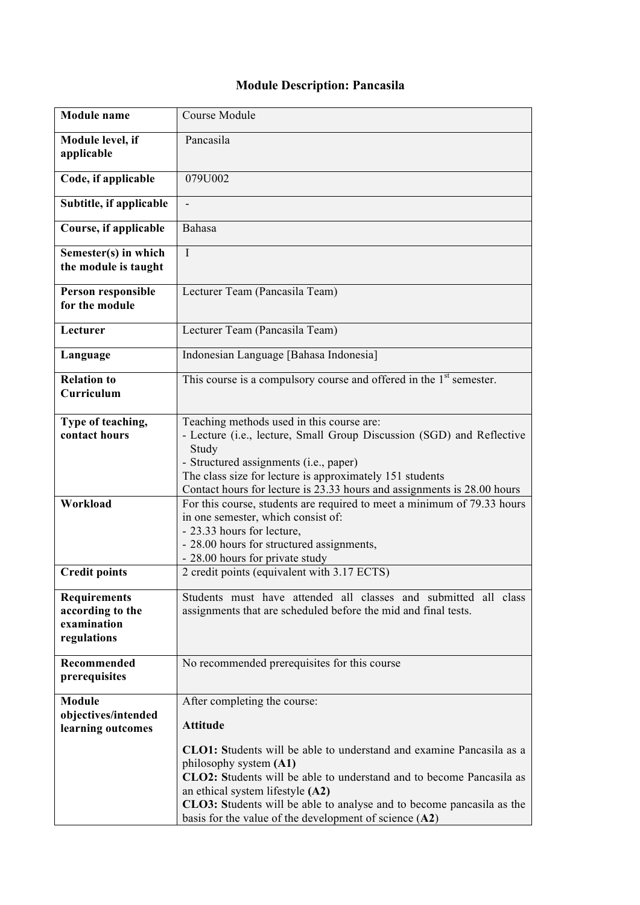## **Module Description: Pancasila**

| <b>Module</b> name                                                    | Course Module                                                                                                                                                                                                                                                                                                                                   |
|-----------------------------------------------------------------------|-------------------------------------------------------------------------------------------------------------------------------------------------------------------------------------------------------------------------------------------------------------------------------------------------------------------------------------------------|
| Module level, if<br>applicable                                        | Pancasila                                                                                                                                                                                                                                                                                                                                       |
| Code, if applicable                                                   | 079U002                                                                                                                                                                                                                                                                                                                                         |
| Subtitle, if applicable                                               |                                                                                                                                                                                                                                                                                                                                                 |
| Course, if applicable                                                 | Bahasa                                                                                                                                                                                                                                                                                                                                          |
| Semester(s) in which<br>the module is taught                          | $\mathbf I$                                                                                                                                                                                                                                                                                                                                     |
| Person responsible<br>for the module                                  | Lecturer Team (Pancasila Team)                                                                                                                                                                                                                                                                                                                  |
| Lecturer                                                              | Lecturer Team (Pancasila Team)                                                                                                                                                                                                                                                                                                                  |
| Language                                                              | Indonesian Language [Bahasa Indonesia]                                                                                                                                                                                                                                                                                                          |
| <b>Relation to</b><br>Curriculum                                      | This course is a compulsory course and offered in the $1st$ semester.                                                                                                                                                                                                                                                                           |
| Type of teaching,<br>contact hours                                    | Teaching methods used in this course are:<br>- Lecture (i.e., lecture, Small Group Discussion (SGD) and Reflective<br>Study<br>- Structured assignments (i.e., paper)<br>The class size for lecture is approximately 151 students<br>Contact hours for lecture is 23.33 hours and assignments is 28.00 hours                                    |
| Workload                                                              | For this course, students are required to meet a minimum of 79.33 hours<br>in one semester, which consist of:<br>- 23.33 hours for lecture,<br>- 28.00 hours for structured assignments,<br>- 28.00 hours for private study                                                                                                                     |
| <b>Credit points</b>                                                  | 2 credit points (equivalent with 3.17 ECTS)                                                                                                                                                                                                                                                                                                     |
| <b>Requirements</b><br>according to the<br>examination<br>regulations | Students must have attended all classes and submitted all class<br>assignments that are scheduled before the mid and final tests.                                                                                                                                                                                                               |
| <b>Recommended</b><br>prerequisites                                   | No recommended prerequisites for this course                                                                                                                                                                                                                                                                                                    |
| <b>Module</b>                                                         | After completing the course:                                                                                                                                                                                                                                                                                                                    |
| objectives/intended<br>learning outcomes                              | <b>Attitude</b>                                                                                                                                                                                                                                                                                                                                 |
|                                                                       | CLO1: Students will be able to understand and examine Pancasila as a<br>philosophy system (A1)<br>CLO2: Students will be able to understand and to become Pancasila as<br>an ethical system lifestyle (A2)<br>CLO3: Students will be able to analyse and to become pancasila as the<br>basis for the value of the development of science $(A2)$ |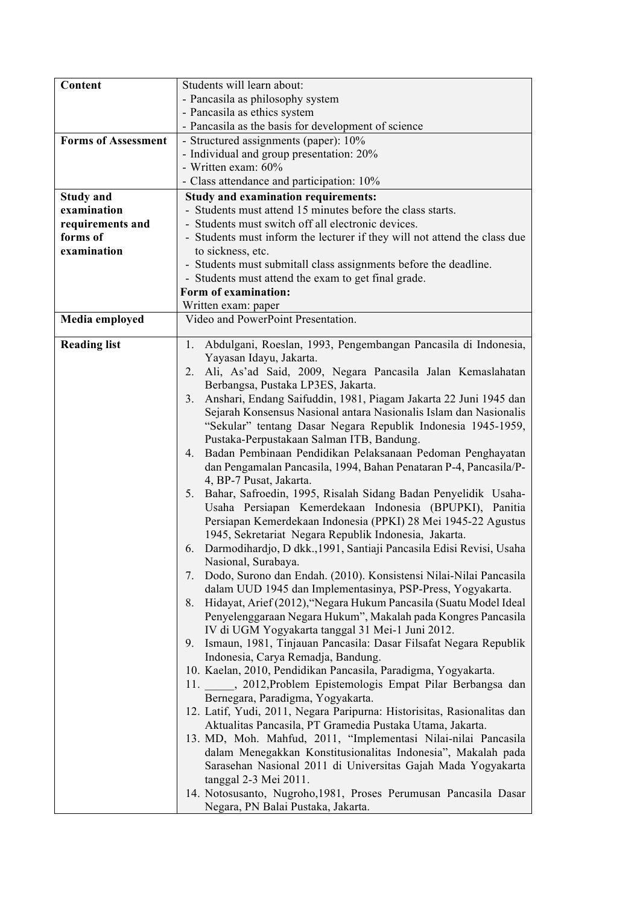| Content                    | Students will learn about:                                                                                                         |
|----------------------------|------------------------------------------------------------------------------------------------------------------------------------|
|                            | - Pancasila as philosophy system                                                                                                   |
|                            | - Pancasila as ethics system                                                                                                       |
|                            | - Pancasila as the basis for development of science                                                                                |
| <b>Forms of Assessment</b> | - Structured assignments (paper): 10%                                                                                              |
|                            | - Individual and group presentation: 20%                                                                                           |
|                            | - Written exam: 60%                                                                                                                |
|                            | - Class attendance and participation: 10%                                                                                          |
| <b>Study and</b>           | <b>Study and examination requirements:</b>                                                                                         |
| examination                | - Students must attend 15 minutes before the class starts.                                                                         |
| requirements and           | - Students must switch off all electronic devices.                                                                                 |
| forms of                   | - Students must inform the lecturer if they will not attend the class due                                                          |
| examination                | to sickness, etc.                                                                                                                  |
|                            | - Students must submitall class assignments before the deadline.                                                                   |
|                            | - Students must attend the exam to get final grade.                                                                                |
|                            | Form of examination:                                                                                                               |
|                            | Written exam: paper<br>Video and PowerPoint Presentation.                                                                          |
| Media employed             |                                                                                                                                    |
| <b>Reading list</b>        | Abdulgani, Roeslan, 1993, Pengembangan Pancasila di Indonesia,<br>1.                                                               |
|                            | Yayasan Idayu, Jakarta.                                                                                                            |
|                            | Ali, As'ad Said, 2009, Negara Pancasila Jalan Kemaslahatan<br>2.                                                                   |
|                            | Berbangsa, Pustaka LP3ES, Jakarta.<br>Anshari, Endang Saifuddin, 1981, Piagam Jakarta 22 Juni 1945 dan<br>3.                       |
|                            | Sejarah Konsensus Nasional antara Nasionalis Islam dan Nasionalis                                                                  |
|                            | "Sekular" tentang Dasar Negara Republik Indonesia 1945-1959,                                                                       |
|                            | Pustaka-Perpustakaan Salman ITB, Bandung.                                                                                          |
|                            | 4. Badan Pembinaan Pendidikan Pelaksanaan Pedoman Penghayatan                                                                      |
|                            | dan Pengamalan Pancasila, 1994, Bahan Penataran P-4, Pancasila/P-<br>4, BP-7 Pusat, Jakarta.                                       |
|                            | Bahar, Safroedin, 1995, Risalah Sidang Badan Penyelidik Usaha-<br>5.                                                               |
|                            | Usaha Persiapan Kemerdekaan Indonesia (BPUPKI), Panitia                                                                            |
|                            | Persiapan Kemerdekaan Indonesia (PPKI) 28 Mei 1945-22 Agustus                                                                      |
|                            | 1945, Sekretariat Negara Republik Indonesia, Jakarta.                                                                              |
|                            | Darmodihardjo, D dkk., 1991, Santiaji Pancasila Edisi Revisi, Usaha<br>6.                                                          |
|                            | Nasional, Surabaya.                                                                                                                |
|                            | 7. Dodo, Surono dan Endah. (2010). Konsistensi Nilai-Nilai Pancasila<br>dalam UUD 1945 dan Implementasinya, PSP-Press, Yogyakarta. |
|                            | Hidayat, Arief (2012), "Negara Hukum Pancasila (Suatu Model Ideal<br>8.                                                            |
|                            | Penyelenggaraan Negara Hukum", Makalah pada Kongres Pancasila                                                                      |
|                            | IV di UGM Yogyakarta tanggal 31 Mei-1 Juni 2012.                                                                                   |
|                            | 9. Ismaun, 1981, Tinjauan Pancasila: Dasar Filsafat Negara Republik                                                                |
|                            | Indonesia, Carya Remadja, Bandung.                                                                                                 |
|                            | 10. Kaelan, 2010, Pendidikan Pancasila, Paradigma, Yogyakarta.                                                                     |
|                            | 11. _____, 2012, Problem Epistemologis Empat Pilar Berbangsa dan<br>Bernegara, Paradigma, Yogyakarta.                              |
|                            | 12. Latif, Yudi, 2011, Negara Paripurna: Historisitas, Rasionalitas dan                                                            |
|                            | Aktualitas Pancasila, PT Gramedia Pustaka Utama, Jakarta.                                                                          |
|                            | 13. MD, Moh. Mahfud, 2011, "Implementasi Nilai-nilai Pancasila                                                                     |
|                            | dalam Menegakkan Konstitusionalitas Indonesia", Makalah pada                                                                       |
|                            | Sarasehan Nasional 2011 di Universitas Gajah Mada Yogyakarta                                                                       |
|                            | tanggal 2-3 Mei 2011.                                                                                                              |
|                            | 14. Notosusanto, Nugroho, 1981, Proses Perumusan Pancasila Dasar                                                                   |
|                            | Negara, PN Balai Pustaka, Jakarta.                                                                                                 |